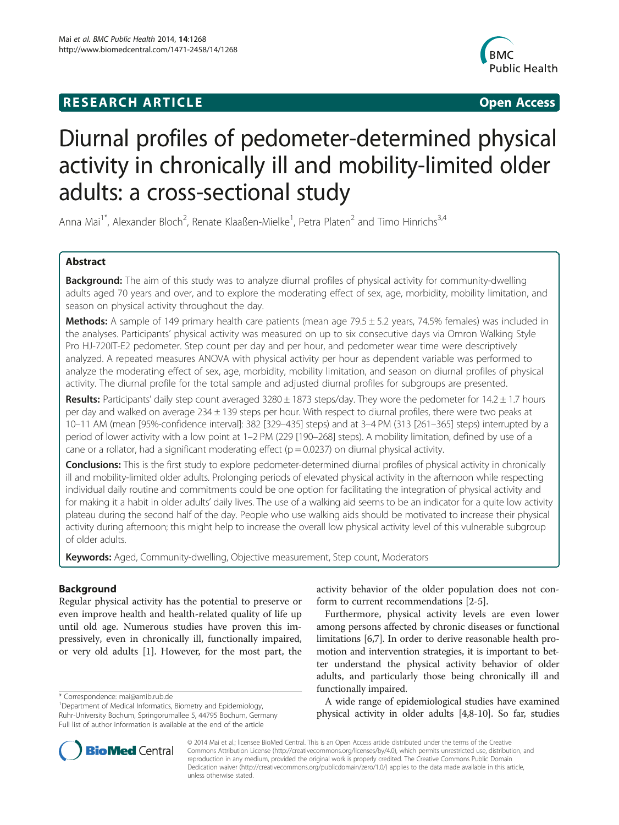# **RESEARCH ARTICLE Example 2018 12:00 Department of the Contract Open Access**



# Diurnal profiles of pedometer-determined physical activity in chronically ill and mobility-limited older adults: a cross-sectional study

Anna Mai<sup>1\*</sup>, Alexander Bloch<sup>2</sup>, Renate Klaaßen-Mielke<sup>1</sup>, Petra Platen<sup>2</sup> and Timo Hinrichs<sup>3,4</sup>

# Abstract

Background: The aim of this study was to analyze diurnal profiles of physical activity for community-dwelling adults aged 70 years and over, and to explore the moderating effect of sex, age, morbidity, mobility limitation, and season on physical activity throughout the day.

Methods: A sample of 149 primary health care patients (mean age  $79.5 \pm 5.2$  years, 74.5% females) was included in the analyses. Participants' physical activity was measured on up to six consecutive days via Omron Walking Style Pro HJ-720IT-E2 pedometer. Step count per day and per hour, and pedometer wear time were descriptively analyzed. A repeated measures ANOVA with physical activity per hour as dependent variable was performed to analyze the moderating effect of sex, age, morbidity, mobility limitation, and season on diurnal profiles of physical activity. The diurnal profile for the total sample and adjusted diurnal profiles for subgroups are presented.

Results: Participants' daily step count averaged  $3280 \pm 1873$  steps/day. They wore the pedometer for  $14.2 \pm 1.7$  hours per day and walked on average 234 ± 139 steps per hour. With respect to diurnal profiles, there were two peaks at 10–11 AM (mean [95%-confidence interval]: 382 [329–435] steps) and at 3–4 PM (313 [261–365] steps) interrupted by a period of lower activity with a low point at 1–2 PM (229 [190–268] steps). A mobility limitation, defined by use of a cane or a rollator, had a significant moderating effect ( $p = 0.0237$ ) on diurnal physical activity.

Conclusions: This is the first study to explore pedometer-determined diurnal profiles of physical activity in chronically ill and mobility-limited older adults. Prolonging periods of elevated physical activity in the afternoon while respecting individual daily routine and commitments could be one option for facilitating the integration of physical activity and for making it a habit in older adults' daily lives. The use of a walking aid seems to be an indicator for a quite low activity plateau during the second half of the day. People who use walking aids should be motivated to increase their physical activity during afternoon; this might help to increase the overall low physical activity level of this vulnerable subgroup of older adults.

**Keywords:** Aged, Community-dwelling, Objective measurement, Step count, Moderators

# Background

Regular physical activity has the potential to preserve or even improve health and health-related quality of life up until old age. Numerous studies have proven this impressively, even in chronically ill, functionally impaired, or very old adults [\[1](#page-9-0)]. However, for the most part, the



Furthermore, physical activity levels are even lower among persons affected by chronic diseases or functional limitations [\[6,7](#page-9-0)]. In order to derive reasonable health promotion and intervention strategies, it is important to better understand the physical activity behavior of older adults, and particularly those being chronically ill and functionally impaired.

A wide range of epidemiological studies have examined physical activity in older adults [[4,8](#page-9-0)-[10](#page-9-0)]. So far, studies

© 2014 Mai et al.; licensee BioMed Central. This is an Open Access article distributed under the terms of the Creative Commons Attribution License [\(http://creativecommons.org/licenses/by/4.0\)](http://creativecommons.org/licenses/by/4.0), which permits unrestricted use, distribution, and reproduction in any medium, provided the original work is properly credited. The Creative Commons Public Domain Dedication waiver [\(http://creativecommons.org/publicdomain/zero/1.0/](http://creativecommons.org/publicdomain/zero/1.0/)) applies to the data made available in this article, unless otherwise stated.

<sup>\*</sup> Correspondence: [mai@amib.rub.de](mailto:mai@amib.rub.de) <sup>1</sup>

<sup>&</sup>lt;sup>1</sup>Department of Medical Informatics, Biometry and Epidemiology, Ruhr-University Bochum, Springorumallee 5, 44795 Bochum, Germany Full list of author information is available at the end of the article

**BioMed Central**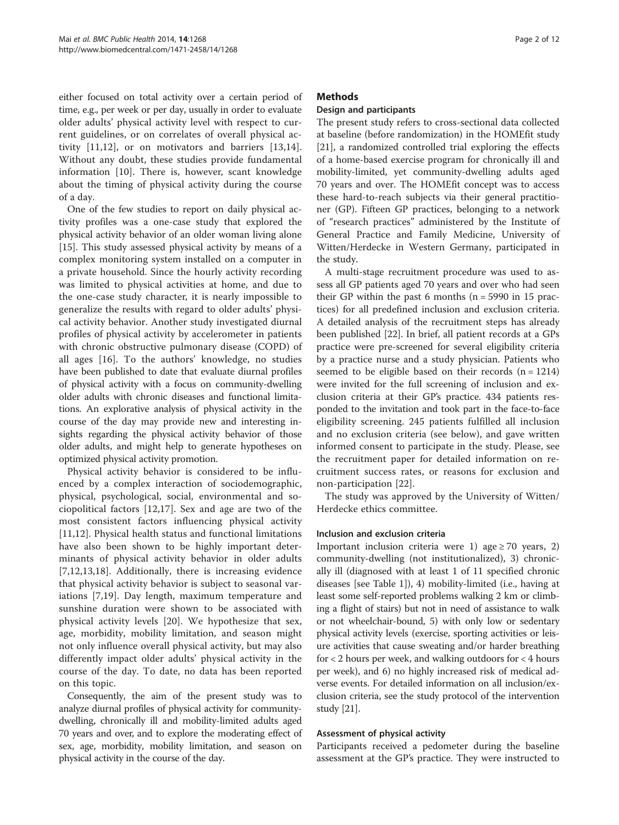<span id="page-1-0"></span>either focused on total activity over a certain period of time, e.g., per week or per day, usually in order to evaluate older adults' physical activity level with respect to current guidelines, or on correlates of overall physical activity [[11](#page-9-0),[12\]](#page-9-0), or on motivators and barriers [[13,14](#page-10-0)]. Without any doubt, these studies provide fundamental information [\[10](#page-9-0)]. There is, however, scant knowledge about the timing of physical activity during the course of a day.

One of the few studies to report on daily physical activity profiles was a one-case study that explored the physical activity behavior of an older woman living alone [[15\]](#page-10-0). This study assessed physical activity by means of a complex monitoring system installed on a computer in a private household. Since the hourly activity recording was limited to physical activities at home, and due to the one-case study character, it is nearly impossible to generalize the results with regard to older adults' physical activity behavior. Another study investigated diurnal profiles of physical activity by accelerometer in patients with chronic obstructive pulmonary disease (COPD) of all ages [\[16](#page-10-0)]. To the authors' knowledge, no studies have been published to date that evaluate diurnal profiles of physical activity with a focus on community-dwelling older adults with chronic diseases and functional limitations. An explorative analysis of physical activity in the course of the day may provide new and interesting insights regarding the physical activity behavior of those older adults, and might help to generate hypotheses on optimized physical activity promotion.

Physical activity behavior is considered to be influenced by a complex interaction of sociodemographic, physical, psychological, social, environmental and sociopolitical factors [[12,](#page-9-0)[17\]](#page-10-0). Sex and age are two of the most consistent factors influencing physical activity [[11,12](#page-9-0)]. Physical health status and functional limitations have also been shown to be highly important determinants of physical activity behavior in older adults [[7,12](#page-9-0)[,13](#page-10-0),[18\]](#page-10-0). Additionally, there is increasing evidence that physical activity behavior is subject to seasonal variations [[7](#page-9-0)[,19](#page-10-0)]. Day length, maximum temperature and sunshine duration were shown to be associated with physical activity levels [\[20](#page-10-0)]. We hypothesize that sex, age, morbidity, mobility limitation, and season might not only influence overall physical activity, but may also differently impact older adults' physical activity in the course of the day. To date, no data has been reported on this topic.

Consequently, the aim of the present study was to analyze diurnal profiles of physical activity for communitydwelling, chronically ill and mobility-limited adults aged 70 years and over, and to explore the moderating effect of sex, age, morbidity, mobility limitation, and season on physical activity in the course of the day.

# **Methods**

# Design and participants

The present study refers to cross-sectional data collected at baseline (before randomization) in the HOMEfit study [[21\]](#page-10-0), a randomized controlled trial exploring the effects of a home-based exercise program for chronically ill and mobility-limited, yet community-dwelling adults aged 70 years and over. The HOMEfit concept was to access these hard-to-reach subjects via their general practitioner (GP). Fifteen GP practices, belonging to a network of "research practices" administered by the Institute of General Practice and Family Medicine, University of Witten/Herdecke in Western Germany, participated in the study.

A multi-stage recruitment procedure was used to assess all GP patients aged 70 years and over who had seen their GP within the past 6 months  $(n = 5990)$  in 15 practices) for all predefined inclusion and exclusion criteria. A detailed analysis of the recruitment steps has already been published [[22\]](#page-10-0). In brief, all patient records at a GPs practice were pre-screened for several eligibility criteria by a practice nurse and a study physician. Patients who seemed to be eligible based on their records  $(n = 1214)$ were invited for the full screening of inclusion and exclusion criteria at their GP's practice. 434 patients responded to the invitation and took part in the face-to-face eligibility screening. 245 patients fulfilled all inclusion and no exclusion criteria (see below), and gave written informed consent to participate in the study. Please, see the recruitment paper for detailed information on recruitment success rates, or reasons for exclusion and non-participation [[22\]](#page-10-0).

The study was approved by the University of Witten/ Herdecke ethics committee.

# Inclusion and exclusion criteria

Important inclusion criteria were 1) age  $\geq 70$  years, 2) community-dwelling (not institutionalized), 3) chronically ill (diagnosed with at least 1 of 11 specified chronic diseases [see Table [1](#page-2-0)]), 4) mobility-limited (i.e., having at least some self-reported problems walking 2 km or climbing a flight of stairs) but not in need of assistance to walk or not wheelchair-bound, 5) with only low or sedentary physical activity levels (exercise, sporting activities or leisure activities that cause sweating and/or harder breathing for < 2 hours per week, and walking outdoors for < 4 hours per week), and 6) no highly increased risk of medical adverse events. For detailed information on all inclusion/exclusion criteria, see the study protocol of the intervention study [[21\]](#page-10-0).

# Assessment of physical activity

Participants received a pedometer during the baseline assessment at the GP's practice. They were instructed to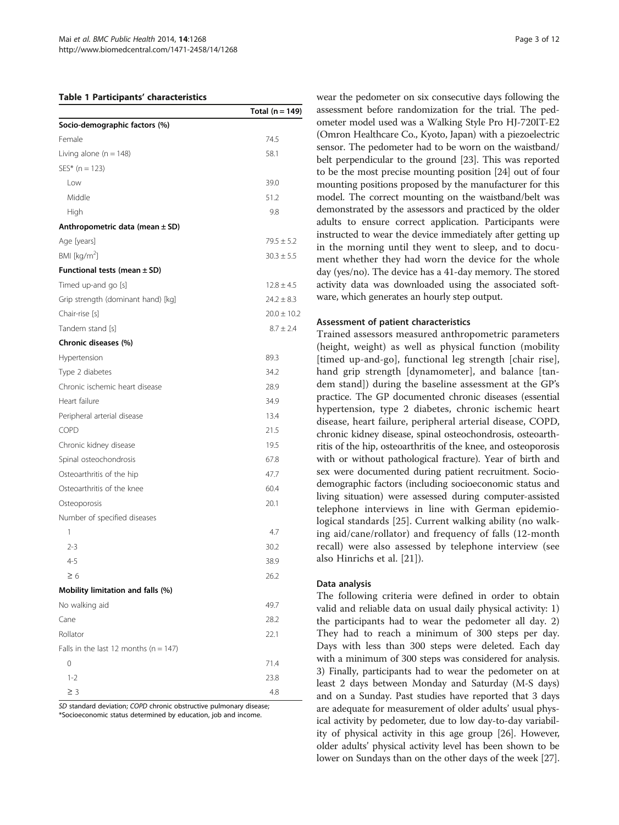#### <span id="page-2-0"></span>Table 1 Participants' characteristics

|                                           | Total ( $n = 149$ ) |
|-------------------------------------------|---------------------|
| Socio-demographic factors (%)             |                     |
| Female                                    | 74.5                |
| Living alone ( $n = 148$ )                | 58.1                |
| $SES* (n = 123)$                          |                     |
| Low                                       | 39.0                |
| Middle                                    | 51.2                |
| High                                      | 9.8                 |
| Anthropometric data (mean $\pm$ SD)       |                     |
| Age [years]                               | $79.5 \pm 5.2$      |
| BMI [kg/m <sup>2</sup> ]                  | $30.3 \pm 5.5$      |
| Functional tests (mean $\pm$ SD)          |                     |
| Timed up-and go [s]                       | $12.8 \pm 4.5$      |
| Grip strength (dominant hand) [kg]        | $24.2 \pm 8.3$      |
| Chair-rise [s]                            | $20.0 \pm 10.2$     |
| Tandem stand [s]                          | $8.7 \pm 2.4$       |
| Chronic diseases (%)                      |                     |
| Hypertension                              | 89.3                |
| Type 2 diabetes                           | 34.2                |
| Chronic ischemic heart disease            | 28.9                |
| Heart failure                             | 34.9                |
| Peripheral arterial disease               | 13.4                |
| <b>COPD</b>                               | 21.5                |
| Chronic kidney disease                    | 19.5                |
| Spinal osteochondrosis                    | 67.8                |
| Osteoarthritis of the hip                 | 47.7                |
| Osteoarthritis of the knee                | 60.4                |
| Osteoporosis                              | 20.1                |
| Number of specified diseases              |                     |
| 1                                         | 4.7                 |
| $2 - 3$                                   | 30.2                |
| $4 - 5$                                   | 38.9                |
| $\geq 6$                                  | 26.2                |
| Mobility limitation and falls (%)         |                     |
| No walking aid                            | 49.7                |
| Cane                                      | 28.2                |
| Rollator                                  | 22.1                |
| Falls in the last 12 months ( $n = 147$ ) |                     |
| 0                                         | 71.4                |
| $1 - 2$                                   | 23.8                |
| $\geq$ 3                                  | 4.8                 |

SD standard deviation; COPD chronic obstructive pulmonary disease; \*Socioeconomic status determined by education, job and income.

wear the pedometer on six consecutive days following the assessment before randomization for the trial. The pedometer model used was a Walking Style Pro HJ-720IT-E2 (Omron Healthcare Co., Kyoto, Japan) with a piezoelectric sensor. The pedometer had to be worn on the waistband/ belt perpendicular to the ground [\[23\]](#page-10-0). This was reported to be the most precise mounting position [[24](#page-10-0)] out of four mounting positions proposed by the manufacturer for this model. The correct mounting on the waistband/belt was demonstrated by the assessors and practiced by the older adults to ensure correct application. Participants were instructed to wear the device immediately after getting up in the morning until they went to sleep, and to document whether they had worn the device for the whole day (yes/no). The device has a 41-day memory. The stored activity data was downloaded using the associated software, which generates an hourly step output.

#### Assessment of patient characteristics

Trained assessors measured anthropometric parameters (height, weight) as well as physical function (mobility [timed up-and-go], functional leg strength [chair rise], hand grip strength [dynamometer], and balance [tandem stand]) during the baseline assessment at the GP's practice. The GP documented chronic diseases (essential hypertension, type 2 diabetes, chronic ischemic heart disease, heart failure, peripheral arterial disease, COPD, chronic kidney disease, spinal osteochondrosis, osteoarthritis of the hip, osteoarthritis of the knee, and osteoporosis with or without pathological fracture). Year of birth and sex were documented during patient recruitment. Sociodemographic factors (including socioeconomic status and living situation) were assessed during computer-assisted telephone interviews in line with German epidemiological standards [[25\]](#page-10-0). Current walking ability (no walking aid/cane/rollator) and frequency of falls (12-month recall) were also assessed by telephone interview (see also Hinrichs et al. [[21](#page-10-0)]).

#### Data analysis

The following criteria were defined in order to obtain valid and reliable data on usual daily physical activity: 1) the participants had to wear the pedometer all day. 2) They had to reach a minimum of 300 steps per day. Days with less than 300 steps were deleted. Each day with a minimum of 300 steps was considered for analysis. 3) Finally, participants had to wear the pedometer on at least 2 days between Monday and Saturday (M-S days) and on a Sunday. Past studies have reported that 3 days are adequate for measurement of older adults' usual physical activity by pedometer, due to low day-to-day variability of physical activity in this age group [[26](#page-10-0)]. However, older adults' physical activity level has been shown to be lower on Sundays than on the other days of the week [[27](#page-10-0)].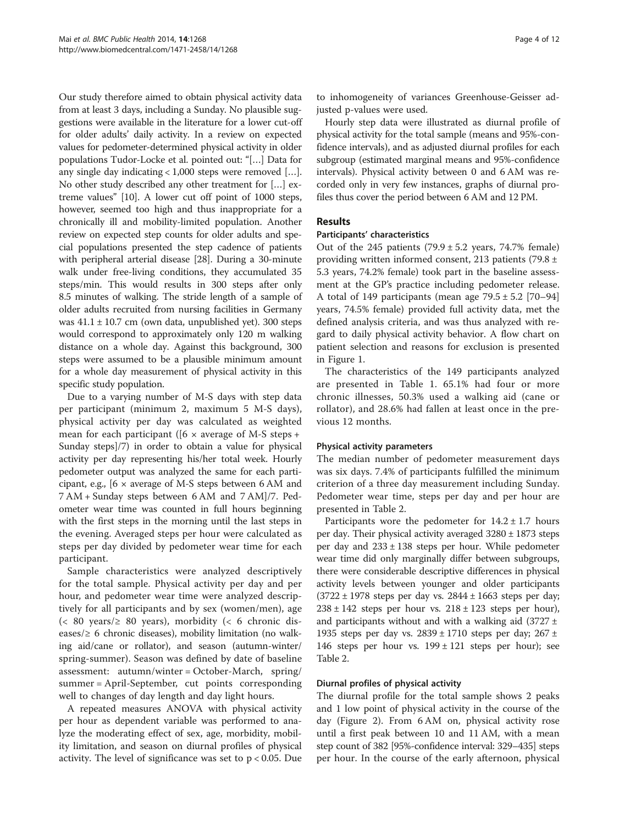Our study therefore aimed to obtain physical activity data from at least 3 days, including a Sunday. No plausible suggestions were available in the literature for a lower cut-off for older adults' daily activity. In a review on expected values for pedometer-determined physical activity in older populations Tudor-Locke et al. pointed out: "[…] Data for any single day indicating < 1,000 steps were removed […]. No other study described any other treatment for […] extreme values" [[10](#page-9-0)]. A lower cut off point of 1000 steps, however, seemed too high and thus inappropriate for a chronically ill and mobility-limited population. Another review on expected step counts for older adults and special populations presented the step cadence of patients with peripheral arterial disease [[28](#page-10-0)]. During a 30-minute walk under free-living conditions, they accumulated 35 steps/min. This would results in 300 steps after only 8.5 minutes of walking. The stride length of a sample of older adults recruited from nursing facilities in Germany was  $41.1 \pm 10.7$  cm (own data, unpublished yet). 300 steps would correspond to approximately only 120 m walking distance on a whole day. Against this background, 300 steps were assumed to be a plausible minimum amount for a whole day measurement of physical activity in this specific study population.

Due to a varying number of M-S days with step data per participant (minimum 2, maximum 5 M-S days), physical activity per day was calculated as weighted mean for each participant ( $[6 \times$  average of M-S steps + Sunday steps]/7) in order to obtain a value for physical activity per day representing his/her total week. Hourly pedometer output was analyzed the same for each participant, e.g.,  $[6 \times \text{average of M-S steps between } 6 \text{ AM and } 6 \times \text{average of M-S steps between } 6 \text{ AM} \text{ and } 6 \times \text{average of M-S steps between } 6 \text{ AM} \text{ and } 6 \times \text{average of M-S steps between } 6 \text{ AM} \text{ and } 6 \times \text{average of M-S steps between } 6 \text{ AM} \text{ and } 6 \times \text{average of M-S steps between } 6 \text{ AM} \text{ and } 6 \times \text{average of M-S steps between } 6 \text{ AM} \text{ and } 6 \times \text{average of M-S steps between } 6 \text{ AM} \text{ and } 6$ 7 AM + Sunday steps between 6 AM and 7 AM]/7. Pedometer wear time was counted in full hours beginning with the first steps in the morning until the last steps in the evening. Averaged steps per hour were calculated as steps per day divided by pedometer wear time for each participant.

Sample characteristics were analyzed descriptively for the total sample. Physical activity per day and per hour, and pedometer wear time were analyzed descriptively for all participants and by sex (women/men), age (< 80 years/≥ 80 years), morbidity (< 6 chronic diseases/ $\geq 6$  chronic diseases), mobility limitation (no walking aid/cane or rollator), and season (autumn-winter/ spring-summer). Season was defined by date of baseline assessment: autumn/winter = October-March, spring/ summer = April-September, cut points corresponding well to changes of day length and day light hours.

A repeated measures ANOVA with physical activity per hour as dependent variable was performed to analyze the moderating effect of sex, age, morbidity, mobility limitation, and season on diurnal profiles of physical activity. The level of significance was set to  $p < 0.05$ . Due

to inhomogeneity of variances Greenhouse-Geisser adjusted p-values were used.

Hourly step data were illustrated as diurnal profile of physical activity for the total sample (means and 95%-confidence intervals), and as adjusted diurnal profiles for each subgroup (estimated marginal means and 95%-confidence intervals). Physical activity between 0 and 6 AM was recorded only in very few instances, graphs of diurnal profiles thus cover the period between 6 AM and 12 PM.

# Results

#### Participants' characteristics

Out of the 245 patients  $(79.9 \pm 5.2 \text{ years}, 74.7\% \text{ female})$ providing written informed consent, 213 patients (79.8 ± 5.3 years, 74.2% female) took part in the baseline assessment at the GP's practice including pedometer release. A total of 149 participants (mean age  $79.5 \pm 5.2$  [70–94] years, 74.5% female) provided full activity data, met the defined analysis criteria, and was thus analyzed with regard to daily physical activity behavior. A flow chart on patient selection and reasons for exclusion is presented in Figure [1](#page-4-0).

The characteristics of the 149 participants analyzed are presented in Table [1](#page-2-0). 65.1% had four or more chronic illnesses, 50.3% used a walking aid (cane or rollator), and 28.6% had fallen at least once in the previous 12 months.

# Physical activity parameters

The median number of pedometer measurement days was six days. 7.4% of participants fulfilled the minimum criterion of a three day measurement including Sunday. Pedometer wear time, steps per day and per hour are presented in Table [2.](#page-4-0)

Participants wore the pedometer for  $14.2 \pm 1.7$  hours per day. Their physical activity averaged  $3280 \pm 1873$  steps per day and  $233 \pm 138$  steps per hour. While pedometer wear time did only marginally differ between subgroups, there were considerable descriptive differences in physical activity levels between younger and older participants (3722 ± 1978 steps per day vs. 2844 ± 1663 steps per day;  $238 \pm 142$  steps per hour vs.  $218 \pm 123$  steps per hour), and participants without and with a walking aid  $(3727 \pm 12)$ 1935 steps per day vs.  $2839 \pm 1710$  steps per day;  $267 \pm 1935$ 146 steps per hour vs.  $199 \pm 121$  steps per hour); see Table [2.](#page-4-0)

# Diurnal profiles of physical activity

The diurnal profile for the total sample shows 2 peaks and 1 low point of physical activity in the course of the day (Figure [2\)](#page-5-0). From 6 AM on, physical activity rose until a first peak between 10 and 11 AM, with a mean step count of 382 [95%-confidence interval: 329–435] steps per hour. In the course of the early afternoon, physical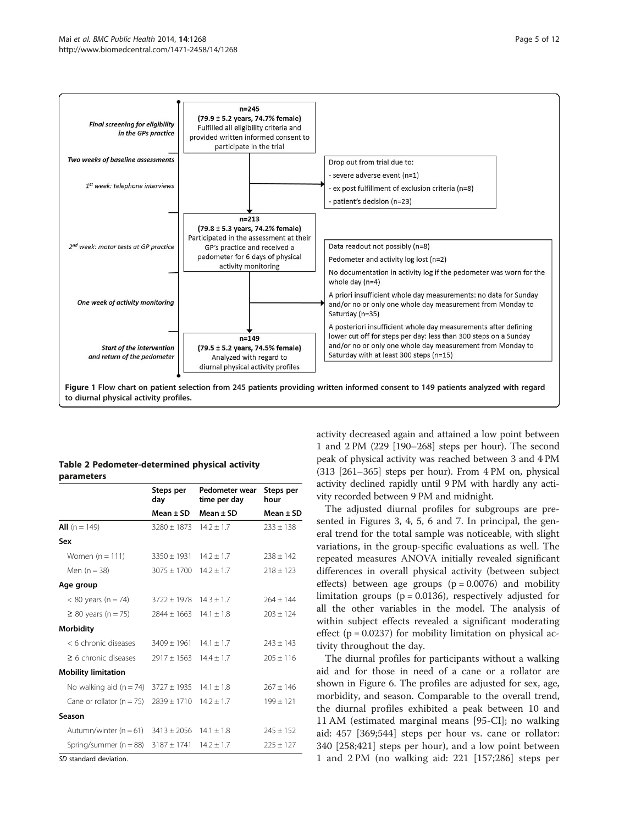<span id="page-4-0"></span>

#### Table 2 Pedometer-determined physical activity parameters

|                             | Steps per<br>day               | Pedometer wear<br>time per day | Steps per<br>hour |
|-----------------------------|--------------------------------|--------------------------------|-------------------|
|                             | $Mean + SD$                    | $Mean + SD$                    | $Mean + SD$       |
| <b>All</b> $(n = 149)$      | $3280 + 1873$                  | $14.2 + 1.7$                   | $233 \pm 138$     |
| Sex                         |                                |                                |                   |
| Women $(n = 111)$           | $3350 + 1931$ $14.2 + 1.7$     |                                | $738 + 142$       |
| Men $(n = 38)$              | $3075 + 1700$                  | $14.2 + 1.7$                   | $218 + 123$       |
| Age group                   |                                |                                |                   |
| $< 80$ years (n = 74)       | $3722 \pm 1978$ $14.3 \pm 1.7$ |                                | $764 + 144$       |
| $\geq$ 80 years (n = 75)    | 2844 ± 1663                    | $14.1 + 1.8$                   | $203 + 124$       |
| <b>Morbidity</b>            |                                |                                |                   |
| < 6 chronic diseases        | $3409 + 1961$ $14.1 + 1.7$     |                                | $743 + 143$       |
| $\geq$ 6 chronic diseases   | 2917 ± 1563                    | $14.4 + 1.7$                   | $205 \pm 116$     |
| <b>Mobility limitation</b>  |                                |                                |                   |
| No walking aid $(n = 74)$   | $3727 \pm 1935$ $14.1 \pm 1.8$ |                                | $767 + 146$       |
| Cane or rollator $(n = 75)$ | $2839 \pm 1710$                | $14.2 \pm 1.7$                 | $199 \pm 121$     |
| Season                      |                                |                                |                   |
| Autumn/winter $(n = 61)$    | $3413 + 2056$ $14.1 + 1.8$     |                                | $745 + 152$       |
| Spring/summer $(n = 88)$    | $3187 + 1741$                  | $14.2 + 1.7$                   | $225 \pm 127$     |

SD standard deviation.

activity decreased again and attained a low point between 1 and 2 PM (229 [190–268] steps per hour). The second peak of physical activity was reached between 3 and 4 PM (313 [261–365] steps per hour). From 4 PM on, physical activity declined rapidly until 9 PM with hardly any activity recorded between 9 PM and midnight.

The adjusted diurnal profiles for subgroups are presented in Figures [3,](#page-5-0) [4](#page-6-0), [5,](#page-6-0) [6](#page-7-0) and [7.](#page-7-0) In principal, the general trend for the total sample was noticeable, with slight variations, in the group-specific evaluations as well. The repeated measures ANOVA initially revealed significant differences in overall physical activity (between subject effects) between age groups  $(p = 0.0076)$  and mobility limitation groups ( $p = 0.0136$ ), respectively adjusted for all the other variables in the model. The analysis of within subject effects revealed a significant moderating effect ( $p = 0.0237$ ) for mobility limitation on physical activity throughout the day.

The diurnal profiles for participants without a walking aid and for those in need of a cane or a rollator are shown in Figure [6](#page-7-0). The profiles are adjusted for sex, age, morbidity, and season. Comparable to the overall trend, the diurnal profiles exhibited a peak between 10 and 11 AM (estimated marginal means [95-CI]; no walking aid: 457 [369;544] steps per hour vs. cane or rollator: 340 [258;421] steps per hour), and a low point between 1 and 2 PM (no walking aid: 221 [157;286] steps per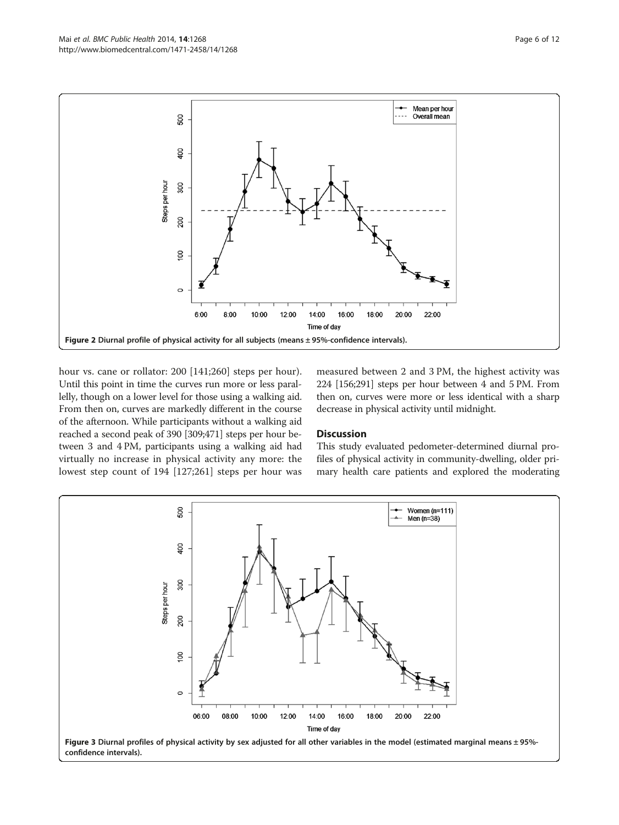<span id="page-5-0"></span>

hour vs. cane or rollator: 200 [141;260] steps per hour). Until this point in time the curves run more or less parallelly, though on a lower level for those using a walking aid. From then on, curves are markedly different in the course of the afternoon. While participants without a walking aid reached a second peak of 390 [309;471] steps per hour between 3 and 4 PM, participants using a walking aid had virtually no increase in physical activity any more: the lowest step count of 194 [127;261] steps per hour was

 $\circ$ 

 $6:00$ 

Figure 2 Diurnal profile of physical activity for all subjects (means ± 95%-confidence intervals).

10:00

12:00

14:00

Time of day

 $8:00$ 

measured between 2 and 3 PM, the highest activity was 224 [156;291] steps per hour between 4 and 5 PM. From then on, curves were more or less identical with a sharp decrease in physical activity until midnight.

22:00

#### **Discussion**

16:00

18:00

20:00

This study evaluated pedometer-determined diurnal profiles of physical activity in community-dwelling, older primary health care patients and explored the moderating

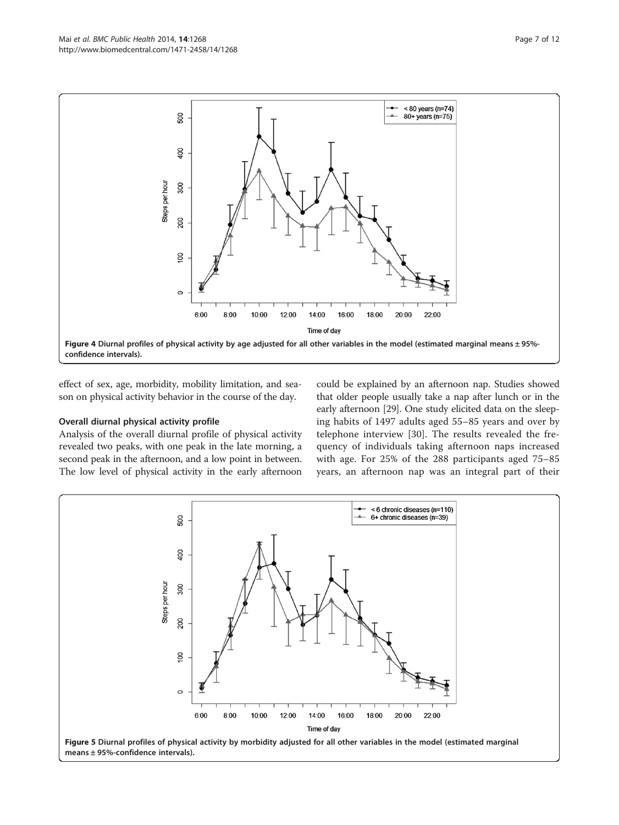<span id="page-6-0"></span>

effect of sex, age, morbidity, mobility limitation, and season on physical activity behavior in the course of the day.

# Overall diurnal physical activity profile

Analysis of the overall diurnal profile of physical activity revealed two peaks, with one peak in the late morning, a second peak in the afternoon, and a low point in between. The low level of physical activity in the early afternoon

could be explained by an afternoon nap. Studies showed that older people usually take a nap after lunch or in the early afternoon [[29](#page-10-0)]. One study elicited data on the sleeping habits of 1497 adults aged 55–85 years and over by telephone interview [[30\]](#page-10-0). The results revealed the frequency of individuals taking afternoon naps increased with age. For 25% of the 288 participants aged 75–85 years, an afternoon nap was an integral part of their



means ± 95%-confidence intervals).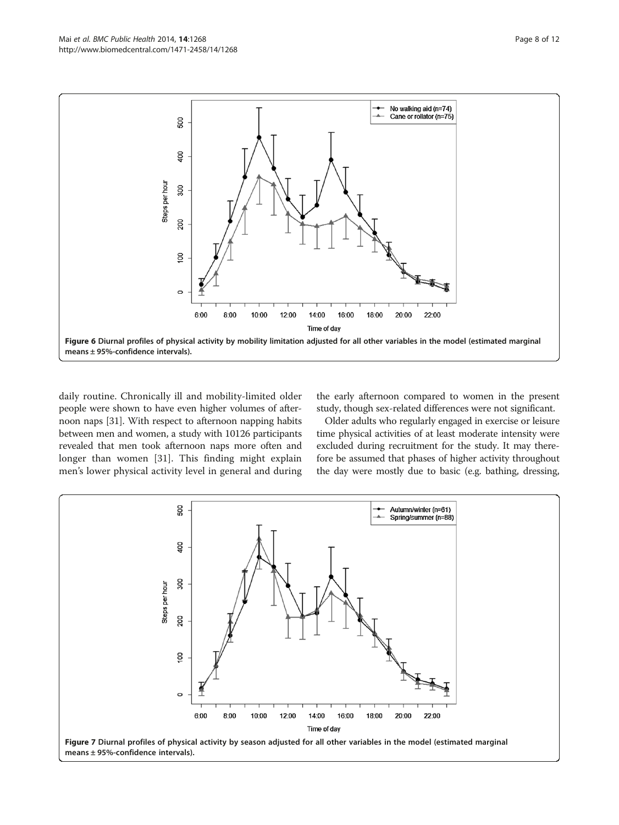<span id="page-7-0"></span>

daily routine. Chronically ill and mobility-limited older people were shown to have even higher volumes of afternoon naps [\[31\]](#page-10-0). With respect to afternoon napping habits between men and women, a study with 10126 participants revealed that men took afternoon naps more often and longer than women [[31\]](#page-10-0). This finding might explain men's lower physical activity level in general and during

the early afternoon compared to women in the present study, though sex-related differences were not significant.

Older adults who regularly engaged in exercise or leisure time physical activities of at least moderate intensity were excluded during recruitment for the study. It may therefore be assumed that phases of higher activity throughout the day were mostly due to basic (e.g. bathing, dressing,

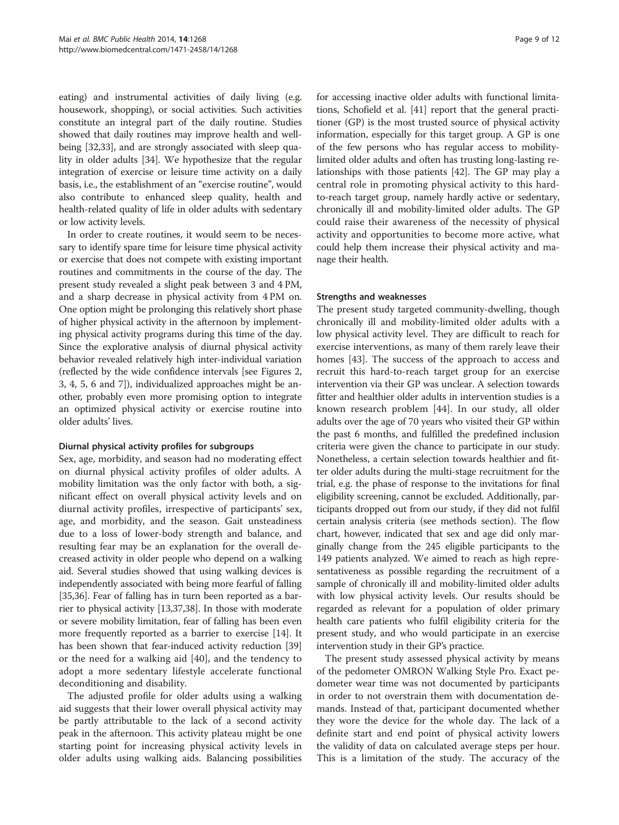eating) and instrumental activities of daily living (e.g. housework, shopping), or social activities. Such activities constitute an integral part of the daily routine. Studies showed that daily routines may improve health and wellbeing [\[32,33](#page-10-0)], and are strongly associated with sleep quality in older adults [\[34](#page-10-0)]. We hypothesize that the regular integration of exercise or leisure time activity on a daily basis, i.e., the establishment of an "exercise routine", would also contribute to enhanced sleep quality, health and health-related quality of life in older adults with sedentary or low activity levels.

In order to create routines, it would seem to be necessary to identify spare time for leisure time physical activity or exercise that does not compete with existing important routines and commitments in the course of the day. The present study revealed a slight peak between 3 and 4 PM, and a sharp decrease in physical activity from 4 PM on. One option might be prolonging this relatively short phase of higher physical activity in the afternoon by implementing physical activity programs during this time of the day. Since the explorative analysis of diurnal physical activity behavior revealed relatively high inter-individual variation (reflected by the wide confidence intervals [see Figures [2](#page-5-0), [3,](#page-5-0) [4, 5](#page-6-0), [6](#page-7-0) and [7\]](#page-7-0)), individualized approaches might be another, probably even more promising option to integrate an optimized physical activity or exercise routine into older adults' lives.

# Diurnal physical activity profiles for subgroups

Sex, age, morbidity, and season had no moderating effect on diurnal physical activity profiles of older adults. A mobility limitation was the only factor with both, a significant effect on overall physical activity levels and on diurnal activity profiles, irrespective of participants' sex, age, and morbidity, and the season. Gait unsteadiness due to a loss of lower-body strength and balance, and resulting fear may be an explanation for the overall decreased activity in older people who depend on a walking aid. Several studies showed that using walking devices is independently associated with being more fearful of falling [[35,36](#page-10-0)]. Fear of falling has in turn been reported as a barrier to physical activity [[13,37,38\]](#page-10-0). In those with moderate or severe mobility limitation, fear of falling has been even more frequently reported as a barrier to exercise [[14](#page-10-0)]. It has been shown that fear-induced activity reduction [[39](#page-10-0)] or the need for a walking aid [[40\]](#page-10-0), and the tendency to adopt a more sedentary lifestyle accelerate functional deconditioning and disability.

The adjusted profile for older adults using a walking aid suggests that their lower overall physical activity may be partly attributable to the lack of a second activity peak in the afternoon. This activity plateau might be one starting point for increasing physical activity levels in older adults using walking aids. Balancing possibilities

for accessing inactive older adults with functional limitations, Schofield et al. [\[41\]](#page-10-0) report that the general practitioner (GP) is the most trusted source of physical activity information, especially for this target group. A GP is one of the few persons who has regular access to mobilitylimited older adults and often has trusting long-lasting relationships with those patients [\[42](#page-10-0)]. The GP may play a central role in promoting physical activity to this hardto-reach target group, namely hardly active or sedentary, chronically ill and mobility-limited older adults. The GP could raise their awareness of the necessity of physical activity and opportunities to become more active, what could help them increase their physical activity and manage their health.

#### Strengths and weaknesses

The present study targeted community-dwelling, though chronically ill and mobility-limited older adults with a low physical activity level. They are difficult to reach for exercise interventions, as many of them rarely leave their homes [[43](#page-10-0)]. The success of the approach to access and recruit this hard-to-reach target group for an exercise intervention via their GP was unclear. A selection towards fitter and healthier older adults in intervention studies is a known research problem [\[44](#page-10-0)]. In our study, all older adults over the age of 70 years who visited their GP within the past 6 months, and fulfilled the predefined inclusion criteria were given the chance to participate in our study. Nonetheless, a certain selection towards healthier and fitter older adults during the multi-stage recruitment for the trial, e.g. the phase of response to the invitations for final eligibility screening, cannot be excluded. Additionally, participants dropped out from our study, if they did not fulfil certain analysis criteria (see [methods](#page-1-0) section). The flow chart, however, indicated that sex and age did only marginally change from the 245 eligible participants to the 149 patients analyzed. We aimed to reach as high representativeness as possible regarding the recruitment of a sample of chronically ill and mobility-limited older adults with low physical activity levels. Our results should be regarded as relevant for a population of older primary health care patients who fulfil eligibility criteria for the present study, and who would participate in an exercise intervention study in their GP's practice.

The present study assessed physical activity by means of the pedometer OMRON Walking Style Pro. Exact pedometer wear time was not documented by participants in order to not overstrain them with documentation demands. Instead of that, participant documented whether they wore the device for the whole day. The lack of a definite start and end point of physical activity lowers the validity of data on calculated average steps per hour. This is a limitation of the study. The accuracy of the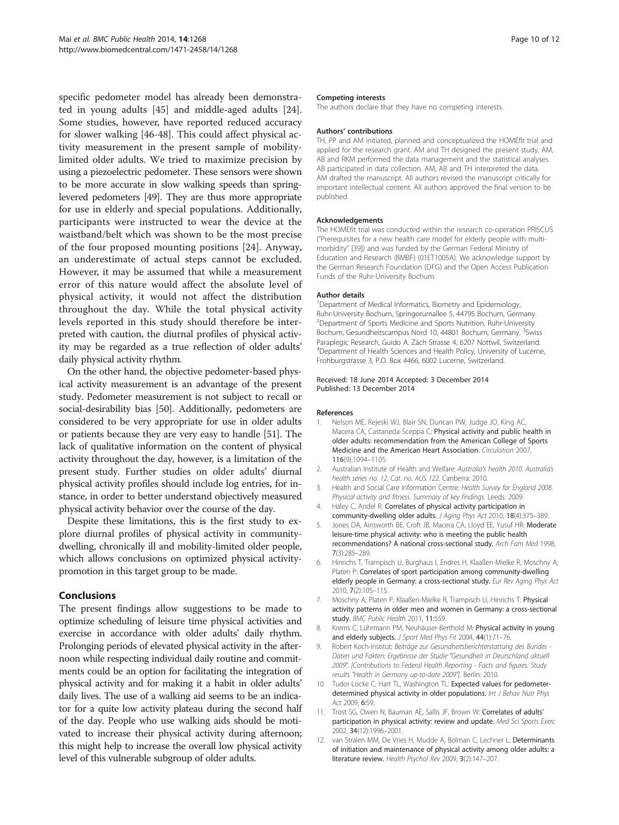<span id="page-9-0"></span>specific pedometer model has already been demonstrated in young adults [[45](#page-10-0)] and middle-aged adults [\[24](#page-10-0)]. Some studies, however, have reported reduced accuracy for slower walking [[46-48\]](#page-10-0). This could affect physical activity measurement in the present sample of mobilitylimited older adults. We tried to maximize precision by using a piezoelectric pedometer. These sensors were shown to be more accurate in slow walking speeds than springlevered pedometers [[49](#page-10-0)]. They are thus more appropriate for use in elderly and special populations. Additionally, participants were instructed to wear the device at the waistband/belt which was shown to be the most precise of the four proposed mounting positions [\[24](#page-10-0)]. Anyway, an underestimate of actual steps cannot be excluded. However, it may be assumed that while a measurement error of this nature would affect the absolute level of physical activity, it would not affect the distribution throughout the day. While the total physical activity levels reported in this study should therefore be interpreted with caution, the diurnal profiles of physical activity may be regarded as a true reflection of older adults' daily physical activity rhythm.

On the other hand, the objective pedometer-based physical activity measurement is an advantage of the present study. Pedometer measurement is not subject to recall or social-desirability bias [[50\]](#page-11-0). Additionally, pedometers are considered to be very appropriate for use in older adults or patients because they are very easy to handle [[51](#page-11-0)]. The lack of qualitative information on the content of physical activity throughout the day, however, is a limitation of the present study. Further studies on older adults' diurnal physical activity profiles should include log entries, for instance, in order to better understand objectively measured physical activity behavior over the course of the day.

Despite these limitations, this is the first study to explore diurnal profiles of physical activity in communitydwelling, chronically ill and mobility-limited older people, which allows conclusions on optimized physical activitypromotion in this target group to be made.

# **Conclusions**

The present findings allow suggestions to be made to optimize scheduling of leisure time physical activities and exercise in accordance with older adults' daily rhythm. Prolonging periods of elevated physical activity in the afternoon while respecting individual daily routine and commitments could be an option for facilitating the integration of physical activity and for making it a habit in older adults' daily lives. The use of a walking aid seems to be an indicator for a quite low activity plateau during the second half of the day. People who use walking aids should be motivated to increase their physical activity during afternoon; this might help to increase the overall low physical activity level of this vulnerable subgroup of older adults.

#### Competing interests

The authors declare that they have no competing interests.

#### Authors' contributions

TH, PP and AM initiated, planned and conceptualized the HOMEfit trial and applied for the research grant. AM and TH designed the present study. AM, AB and RKM performed the data management and the statistical analyses. AB participated in data collection. AM, AB and TH interpreted the data. AM drafted the manuscript. All authors revised the manuscript critically for important intellectual content. All authors approved the final version to be published.

#### Acknowledgements

The HOMEfit trial was conducted within the research co-operation PRISCUS ("Prerequisites for a new health care model for elderly people with multimorbidity" [\[39](#page-10-0)]) and was funded by the German Federal Ministry of Education and Research (BMBF) (01ET1005A). We acknowledge support by the German Research Foundation (DFG) and the Open Access Publication Funds of the Ruhr-University Bochum.

#### Author details

<sup>1</sup>Department of Medical Informatics, Biometry and Epidemiology, Ruhr-University Bochum, Springorumallee 5, 44795 Bochum, Germany. 2 Department of Sports Medicine and Sports Nutrition, Ruhr-University Bochum, Gesundheitscampus Nord 10, 44801 Bochum, Germany. <sup>3</sup>Swiss Paraplegic Research, Guido A. Zäch Strasse 4, 6207 Nottwil, Switzerland. 4 Department of Health Sciences and Health Policy, University of Lucerne, Frohburgstrasse 3, P.O. Box 4466, 6002 Lucerne, Switzerland.

#### Received: 18 June 2014 Accepted: 3 December 2014 Published: 13 December 2014

#### References

- 1. Nelson ME, Rejeski WJ, Blair SN, Duncan PW, Judge JO, King AC, Macera CA, Castaneda-Sceppa C: Physical activity and public health in older adults: recommendation from the American College of Sports Medicine and the American Heart Association. Circulation 2007, 116(9):1094–1105.
- 2. Australian Institute of Health and Welfare: Australia's health 2010. Australia's health series no. 12. Cat. no. AUS 122. Canberra: 2010.
- 3. Health and Social Care Information Centre: Health Survey for England 2008. Physical activity and fitness. Summary of key findings. Leeds: 2009.
- 4. Haley C, Andel R: Correlates of physical activity participation in community-dwelling older adults. J Aging Phys Act 2010, 18(4):375–389.
- 5. Jones DA, Ainsworth BE, Croft JB, Macera CA, Lloyd EE, Yusuf HR: Moderate leisure-time physical activity: who is meeting the public health recommendations? A national cross-sectional study. Arch Fam Med 1998, 7(3):285–289.
- 6. Hinrichs T, Trampisch U, Burghaus I, Endres H, Klaaßen-Mielke R, Moschny A, Platen P: Correlates of sport participation among community-dwelling elderly people in Germany: a cross-sectional study. Eur Rev Aging Phys Act 2010, 7(2):105–115.
- 7. Moschny A, Platen P, Klaaßen-Mielke R, Trampisch U, Hinrichs T: Physical activity patterns in older men and women in Germany: a cross-sectional study. BMC Public Health 2011, 11:559.
- 8. Krems C, Lührmann PM, Neuhäuser-Berthold M: Physical activity in young and elderly subjects. J Sport Med Phys Fit 2004, 44(1):71-76.
- 9. Robert Koch-Institut: Beiträge zur Gesundheitsberichterstattung des Bundes Daten und Fakten: Ergebnisse der Studie "Gesundheit in Deutschland aktuell 2009". [Contributions to Federal Health Reporting - Facts and figures: Study results "Health in Germany up-to-date 2009"]. Berlin: 2010.
- 10. Tudor-Locke C, Hart TL, Washington TL: Expected values for pedometerdetermined physical activity in older populations. Int J Behav Nutr Phys Act 2009, **6:**59.
- 11. Trost SG, Owen N, Bauman AE, Sallis JF, Brown W: Correlates of adults' participation in physical activity: review and update. Med Sci Sports Exerc 2002, 34(12):1996–2001.
- 12. van Stralen MM, De Vries H, Mudde A, Bolman C, Lechner L: Determinants of initiation and maintenance of physical activity among older adults: a literature review. Health Psychol Rev 2009, 3(2):147–207.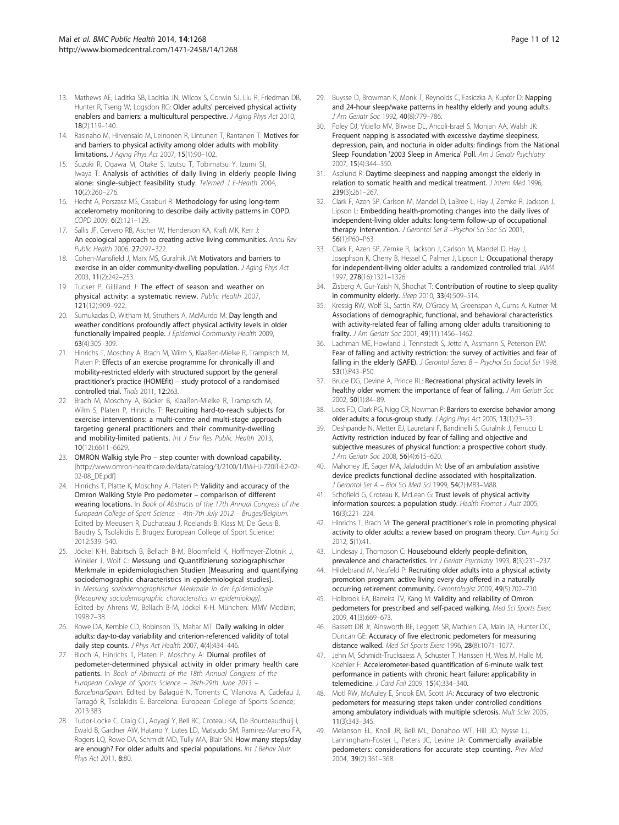- <span id="page-10-0"></span>13. Mathews AE, Laditka SB, Laditka JN, Wilcox S, Corwin SJ, Liu R, Friedman DB, Hunter R, Tseng W, Logsdon RG: Older adults' perceived physical activity enablers and barriers: a multicultural perspective. J Aging Phys Act 2010, 18(2):119–140.
- 14. Rasinaho M, Hirvensalo M, Leinonen R, Lintunen T, Rantanen T: Motives for and barriers to physical activity among older adults with mobility limitations. J Aging Phys Act 2007, 15(1):90–102.
- 15. Suzuki R, Ogawa M, Otake S, Izutsu T, Tobimatsu Y, Izumi SI, Iwaya T: Analysis of activities of daily living in elderly people living alone: single-subject feasibility study. Telemed J E-Health 2004, 10(2):260–276.
- 16. Hecht A, Porszasz MS, Casaburi R: Methodology for using long-term accelerometry monitoring to describe daily activity patterns in COPD. COPD 2009, 6(2):121–129.
- 17. Sallis JF, Cervero RB, Ascher W, Henderson KA, Kraft MK, Kerr J: An ecological approach to creating active living communities. Annu Rev Public Health 2006, 27:297–322.
- 18. Cohen-Mansfield J, Marx MS, Guralnik JM: Motivators and barriers to exercise in an older community-dwelling population. J Aging Phys Act 2003, 11(2):242–253.
- 19. Tucker P, Gilliland J: The effect of season and weather on physical activity: a systematic review. Public Health 2007, 121(12):909–922.
- 20. Sumukadas D, Witham M, Struthers A, McMurdo M: Day length and weather conditions profoundly affect physical activity levels in older functionally impaired people. J Epidemiol Community Health 2009, 63(4):305–309.
- 21. Hinrichs T, Moschny A, Brach M, Wilm S, Klaaßen-Mielke R, Trampisch M, Platen P: Effects of an exercise programme for chronically ill and mobility-restricted elderly with structured support by the general practitioner's practice (HOMEfit) – study protocol of a randomised controlled trial. Trials 2011, 12:263.
- 22. Brach M, Moschny A, Bücker B, Klaaßen-Mielke R, Trampisch M, Wilm S, Platen P, Hinrichs T: Recruiting hard-to-reach subjects for exercise interventions: a multi-centre and multi-stage approach targeting general practitioners and their community-dwelling and mobility-limited patients. Int J Env Res Public Health 2013, 10(12):6611–6629.
- 23. OMRON Walkig style Pro step counter with download capability. [[http://www.omron-healthcare.de/data/catalog/3/2100/1/IM-HJ-720IT-E2-02-](http://www.omron-healthcare.de/data/catalog/3/2100/1/IM-HJ-720IT-E2-02-02-08_DE.pdf) [02-08\\_DE.pdf\]](http://www.omron-healthcare.de/data/catalog/3/2100/1/IM-HJ-720IT-E2-02-02-08_DE.pdf)
- 24. Hinrichs T, Platte K, Moschny A, Platen P: Validity and accuracy of the Omron Walking Style Pro pedometer – comparison of different wearing locations. In Book of Abstracts of the 17th Annual Congress of the European College of Sport Science – 4th-7th July 2012 – Bruges/Belgium. Edited by Meeusen R, Duchateau J, Roelands B, Klass M, De Geus B, Baudry S, Tsolakidis E. Bruges: European College of Sport Science; 2012:539–540.
- 25. Jöckel K-H, Babitsch B, Bellach B-M, Bloomfield K, Hoffmeyer-Zlotnik J, Winkler J, Wolf C: Messung und Quantifizierung soziographischer Merkmale in epidemiologischen Studien [Measuring and quantifying sociodemographic characteristics in epidemiological studies]. In Messung soziodemographischer Merkmale in der Epidemiologie [Measuring sociodemographic characteristics in epidemiology]. Edited by Ahrens W, Bellach B-M, Jöckel K-H. München: MMV Medizin; 1998:7–38.
- 26. Rowe DA, Kemble CD, Robinson TS, Mahar MT: Daily walking in older adults: day-to-day variability and criterion-referenced validity of total daily step counts. J Phys Act Health 2007, 4(4):434-446.
- 27. Bloch A, Hinrichs T, Platen P, Moschny A: Diurnal profiles of pedometer-determined physical activity in older primary health care patients. In Book of Abstracts of the 18th Annual Congress of the European College of Sports Science – 26th-29th June 2013 – Barcelona/Spain. Edited by Balagué N, Torrents C, Vilanova A, Cadefau J, Tarragó R, Tsolakidis E. Barcelona: European College of Sports Science; 2013:383.
- 28. Tudor-Locke C, Craig CL, Aoyagi Y, Bell RC, Croteau KA, De Bourdeaudhuij I, Ewald B, Gardner AW, Hatano Y, Lutes LD, Matsudo SM, Ramirez-Marrero FA, Rogers LQ, Rowe DA, Schmidt MD, Tully MA, Blair SN: How many steps/day are enough? For older adults and special populations. Int J Behav Nutr Phys Act 2011, 8:80.
- 29. Buysse D, Browman K, Monk T, Reynolds C, Fasiczka A, Kupfer D: Napping and 24-hour sleep/wake patterns in healthy elderly and young adults. J Am Geriatr Soc 1992, 40(8):779–786.
- 30. Foley DJ, Vitiello MV, Bliwise DL, Ancoli-Israel S, Monjan AA, Walsh JK: Frequent napping is associated with excessive daytime sleepiness, depression, pain, and nocturia in older adults: findings from the National Sleep Foundation '2003 Sleep in America' Poll. Am J Geriatr Psychiatry 2007, 15(4):344–350.
- 31. Asplund R: Daytime sleepiness and napping amongst the elderly in relation to somatic health and medical treatment. J Intern Med 1996, 239(3):261–267.
- 32. Clark F, Azen SP, Carlson M, Mandel D, LaBree L, Hay J, Zemke R, Jackson J, Lipson L: Embedding health-promoting changes into the daily lives of independent-living older adults: long-term follow-up of occupational therapy intervention. J Gerontol Ser B -Psychol Sci Soc Sci 2001, 56(1):P60–P63.
- 33. Clark F, Azen SP, Zemke R, Jackson J, Carlson M, Mandel D, Hay J, Josephson K, Cherry B, Hessel C, Palmer J, Lipson L: Occupational therapy for independent-living older adults: a randomized controlled trial. JAMA 1997, 278(16):1321–1326.
- 34. Zisberg A, Gur-Yaish N, Shochat T: Contribution of routine to sleep quality in community elderly. Sleep 2010, 33(4):509–514.
- 35. Kressig RW, Wolf SL, Sattin RW, O'Grady M, Greenspan A, Curns A, Kutner M: Associations of demographic, functional, and behavioral characteristics with activity-related fear of falling among older adults transitioning to frailty. J Am Geriatr Soc 2001, 49(11):1456–1462.
- 36. Lachman ME, Howland J, Tennstedt S, Jette A, Assmann S, Peterson EW: Fear of falling and activity restriction: the survey of activities and fear of falling in the elderly (SAFE). J Gerontol Series B - Psychol Sci Social Sci 1998, 53(1):P43–P50.
- 37. Bruce DG, Devine A, Prince RL: Recreational physical activity levels in healthy older women: the importance of fear of falling. J Am Geriatr Soc 2002, 50(1):84–89.
- 38. Lees FD, Clark PG, Nigg CR, Newman P: Barriers to exercise behavior among older adults: a focus-group study. J Aging Phys Act 2005, 13(1):23–33.
- 39. Deshpande N, Metter EJ, Lauretani F, Bandinelli S, Guralnik J, Ferrucci L: Activity restriction induced by fear of falling and objective and subjective measures of physical function: a prospective cohort study. J Am Geriatr Soc 2008, 56(4):615-620.
- 40. Mahoney JE, Sager MA, Jalaluddin M: Use of an ambulation assistive device predicts functional decline associated with hospitalization. J Gerontol Ser A – Biol Sci Med Sci 1999, 54(2):M83–M88.
- 41. Schofield G, Croteau K, McLean G: Trust levels of physical activity information sources: a population study. Health Promot J Aust 2005, 16(3):221–224.
- 42. Hinrichs T, Brach M: The general practitioner's role in promoting physical activity to older adults: a review based on program theory. Curr Aging Sci 2012, 5(1):41.
- 43. Lindesay J, Thompson C: Housebound elderly people-definition, prevalence and characteristics. Int J Geriatr Psychiatry 1993, 8(3):231-237.
- 44. Hildebrand M, Neufeld P: Recruiting older adults into a physical activity promotion program: active living every day offered in a naturally occurring retirement community. Gerontologist 2009, 49(5):702–710.
- 45. Holbrook EA, Barreira TV, Kang M: Validity and reliability of Omron pedometers for prescribed and self-paced walking. Med Sci Sports Exerc 2009, 41(3):669–673.
- 46. Bassett DR Jr, Ainsworth BE, Leggett SR, Mathien CA, Main JA, Hunter DC, Duncan GE: Accuracy of five electronic pedometers for measuring distance walked. Med Sci Sports Exerc 1996, 28(8):1071–1077.
- 47. Jehn M, Schmidt-Trucksaess A, Schuster T, Hanssen H, Weis M, Halle M, Koehler F: Accelerometer-based quantification of 6-minute walk test performance in patients with chronic heart failure: applicability in telemedicine. J Card Fail 2009, 15(4):334–340.
- Motl RW, McAuley E, Snook EM, Scott JA: Accuracy of two electronic pedometers for measuring steps taken under controlled conditions among ambulatory individuals with multiple sclerosis. Mult Scler 2005, 11(3):343–345.
- 49. Melanson EL, Knoll JR, Bell ML, Donahoo WT, Hill JO, Nysse LJ, Lanningham-Foster L, Peters JC, Levine JA: Commercially available pedometers: considerations for accurate step counting. Prev Med 2004, 39(2):361–368.